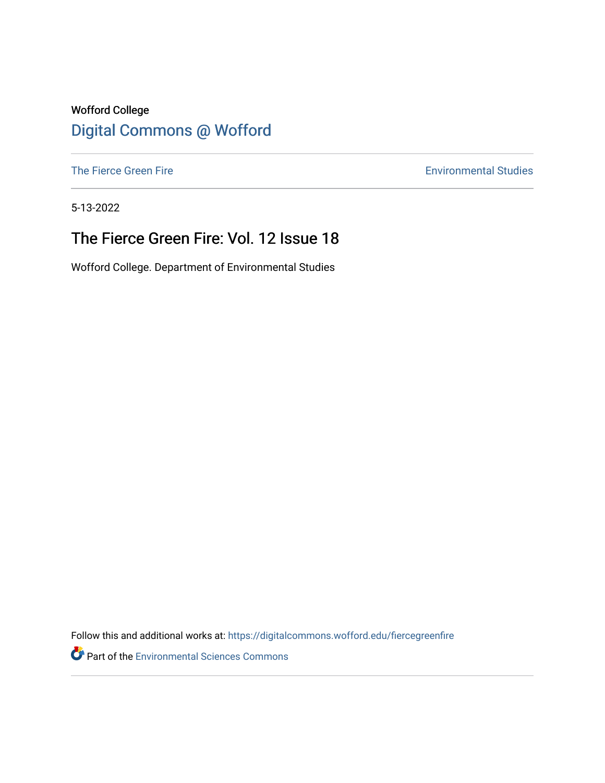#### Wofford College [Digital Commons @ Wofford](https://digitalcommons.wofford.edu/)

[The Fierce Green Fire](https://digitalcommons.wofford.edu/fiercegreenfire) **Environmental Studies** 

5-13-2022

### The Fierce Green Fire: Vol. 12 Issue 18

Wofford College. Department of Environmental Studies

Follow this and additional works at: [https://digitalcommons.wofford.edu/fiercegreenfire](https://digitalcommons.wofford.edu/fiercegreenfire?utm_source=digitalcommons.wofford.edu%2Ffiercegreenfire%2F284&utm_medium=PDF&utm_campaign=PDFCoverPages) 

**Part of the [Environmental Sciences Commons](https://network.bepress.com/hgg/discipline/167?utm_source=digitalcommons.wofford.edu%2Ffiercegreenfire%2F284&utm_medium=PDF&utm_campaign=PDFCoverPages)**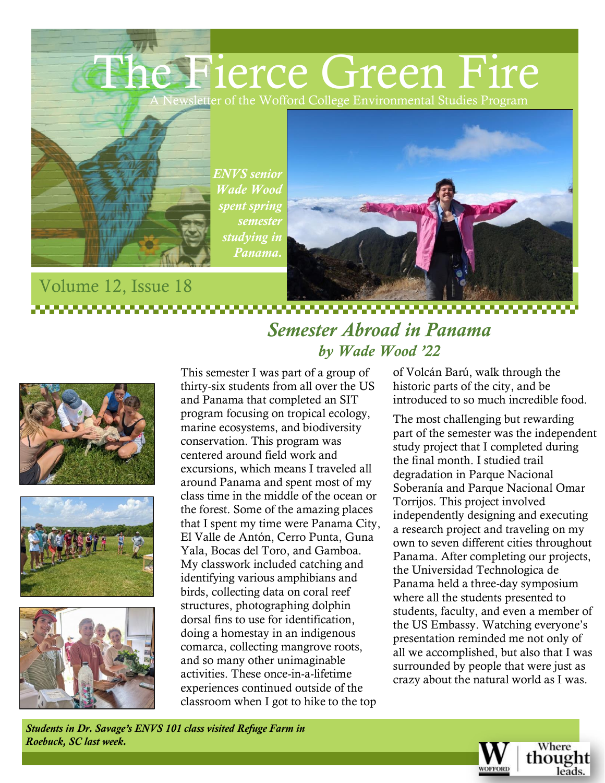The Fierce Green Fire Lewsletter of the Wofford College Environmental Studies Program



Volume 12, Issue 18

*ENVS senior Wade Wood spent spring semester studying in Panama.*



#### ,,,,,,,,,,,,,,,, *Semester Abroad in Panama by Wade Wood '22*







This semester I was part of a group of thirty-six students from all over the US and Panama that completed an SIT program focusing on tropical ecology, marine ecosystems, and biodiversity conservation. This program was centered around field work and excursions, which means I traveled all around Panama and spent most of my class time in the middle of the ocean or the forest. Some of the amazing places that I spent my time were Panama City, El Valle de Antón, Cerro Punta, Guna Yala, Bocas del Toro, and Gamboa. My classwork included catching and identifying various amphibians and birds, collecting data on coral reef structures, photographing dolphin dorsal fins to use for identification, doing a homestay in an indigenous comarca, collecting mangrove roots, and so many other unimaginable activities. These once-in-a-lifetime experiences continued outside of the classroom when I got to hike to the top

of Volcán Barú, walk through the historic parts of the city, and be introduced to so much incredible food.

The most challenging but rewarding part of the semester was the independent study project that I completed during the final month. I studied trail degradation in Parque Nacional Soberanía and Parque Nacional Omar Torrijos. This project involved independently designing and executing a research project and traveling on my own to seven different cities throughout Panama. After completing our projects, the Universidad Technologica de Panama held a three-day symposium where all the students presented to students, faculty, and even a member of the US Embassy. Watching everyone's presentation reminded me not only of all we accomplished, but also that I was surrounded by people that were just as crazy about the natural world as I was.

*Students in Dr. Savage's ENVS 101 class visited Refuge Farm in Roebuck, SC last week.*